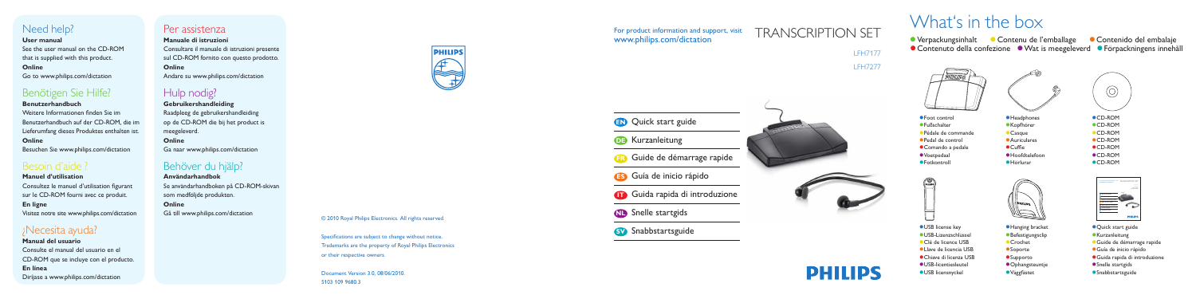© 2010 Royal Philips Electronics. All rights reserved.

Specifications are subject to change without notice. Trademarks are the property of Royal Philips Electronics or their respective owners.

Document Version 3.0, 08/06/2010. 5103 109 9680.3



### For product information and support, visit www.philips.com/dictation

### LFH7177 LFH7277





# TRANSCRIPTION SET

| <b>EN</b> Quick start guide         |
|-------------------------------------|
| <b>DB</b> Kurzanleitung             |
| <b>ED</b> Guide de démarrage rapide |
| <b>ES</b> Guía de inicio rápido     |
| Guida rapida di introduzione        |
| <b>ND</b> Snelle startgids          |
| <b>SV</b> Snabbstartsguide          |
|                                     |

# What's in the box

● Verpackungsinhalt ● Contenu de l'emballage **Contenido del embalaie** ● Contenuto della confezione ● Wat is meegeleverd ● Förpackningens innehåll



# Need help?

#### **User manual**

See the user manual on the CD-ROM that is supplied with this product. **Online**

Go to www.philips.com/dictation

# Benötigen Sie Hilfe?

### **Benutzerhandbuch**

Weitere Informationen finden Sie im Benutzerhandbuch auf der CD-ROM, die im Lieferumfang dieses Produktes enthalten ist. **Online**

Besuchen Sie www.philips.com/dictation

# Besoin d'aide ?

### **Manuel d'utilisation** Consultez le manuel d'utilisation figurant sur le CD-ROM fourni avec ce produit. **En ligne** Visitez notre site www.philips.com/dictation

# ¿Necesita ayuda?

- **Headphones**
- Kopfhörer
- Casque
- Auriculares
- $\bullet$  Cuffie
- Hoofdtelefoon
- Hörlurar
- Foot control
- Fußschalter
- Pédale de commande
- Pedal de control
- Comando a pedale
- Voetpedaal
- **•**Fotkontroll





**Manual del usuario** Consulte el manual del usuario en el CD-ROM que se incluye con el producto. **En línea** Diríjase a www.philips.com/dictation

### Per assistenza

**Manuale di istruzioni** Consultare il manuale di istruzioni presente sul CD-ROM fornito con questo prodotto. **Online** Andare su www.philips.com/dictation

# Hulp nodig?

### **Gebruikershandleiding** Raadpleeg de gebruikershandleiding op de CD-ROM die bij het product is meegeleverd. **Online** Ga naar www.philips.com/dictation

# Behöver du hjälp?

**Användarhandbok** Se användarhandboken på CD-ROM-skivan som medföljde produkten. **Online** Gå till www.philips.com/dictation



- Quick start guide
- **Kurzanleitung**
- Guide de démarrage rapide
- Guía de inicio rápido
- Guida rapida di introduzione
- Snelle startgids
- **Snabbstartsguide**





- USB license key
- USB-Lizenzschlüssel
- Clé de licence USB
- Llave de licencia USB
- Chiave di licenza USB
- USB-licentiesleutel
- USB licensnyckel



- Hanging bracket
- **Befestigungsclip**
- Crochet
- **Soporte**
- **Supporto**
- **Ophangsteuntje**
- Väggfästet